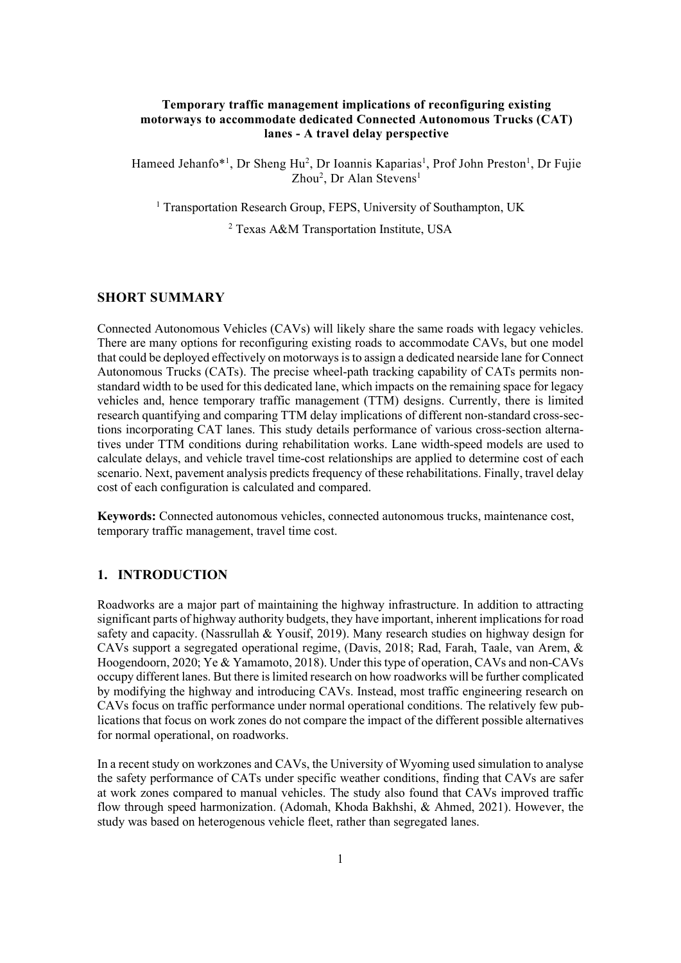### Temporary traffic management implications of reconfiguring existing motorways to accommodate dedicated Connected Autonomous Trucks (CAT) lanes - A travel delay perspective

Hameed Jehanfo\*<sup>1</sup>, Dr Sheng Hu<sup>2</sup>, Dr Ioannis Kaparias<sup>1</sup>, Prof John Preston<sup>1</sup>, Dr Fujie Zhou<sup>2</sup>, Dr Alan Stevens<sup>1</sup>

<sup>1</sup> Transportation Research Group, FEPS, University of Southampton, UK

2 Texas A&M Transportation Institute, USA

# SHORT SUMMARY

Connected Autonomous Vehicles (CAVs) will likely share the same roads with legacy vehicles. There are many options for reconfiguring existing roads to accommodate CAVs, but one model that could be deployed effectively on motorways is to assign a dedicated nearside lane for Connect Autonomous Trucks (CATs). The precise wheel-path tracking capability of CATs permits nonstandard width to be used for this dedicated lane, which impacts on the remaining space for legacy vehicles and, hence temporary traffic management (TTM) designs. Currently, there is limited research quantifying and comparing TTM delay implications of different non-standard cross-sections incorporating CAT lanes. This study details performance of various cross-section alternatives under TTM conditions during rehabilitation works. Lane width-speed models are used to calculate delays, and vehicle travel time-cost relationships are applied to determine cost of each scenario. Next, pavement analysis predicts frequency of these rehabilitations. Finally, travel delay cost of each configuration is calculated and compared.

Keywords: Connected autonomous vehicles, connected autonomous trucks, maintenance cost, temporary traffic management, travel time cost.

### 1. INTRODUCTION

Roadworks are a major part of maintaining the highway infrastructure. In addition to attracting significant parts of highway authority budgets, they have important, inherent implications for road safety and capacity. (Nassrullah & Yousif, 2019). Many research studies on highway design for CAVs support a segregated operational regime, (Davis, 2018; Rad, Farah, Taale, van Arem, & Hoogendoorn, 2020; Ye & Yamamoto, 2018). Under this type of operation, CAVs and non-CAVs occupy different lanes. But there is limited research on how roadworks will be further complicated by modifying the highway and introducing CAVs. Instead, most traffic engineering research on CAVs focus on traffic performance under normal operational conditions. The relatively few publications that focus on work zones do not compare the impact of the different possible alternatives for normal operational, on roadworks.

In a recent study on workzones and CAVs, the University of Wyoming used simulation to analyse the safety performance of CATs under specific weather conditions, finding that CAVs are safer at work zones compared to manual vehicles. The study also found that CAVs improved traffic flow through speed harmonization. (Adomah, Khoda Bakhshi, & Ahmed, 2021). However, the study was based on heterogenous vehicle fleet, rather than segregated lanes.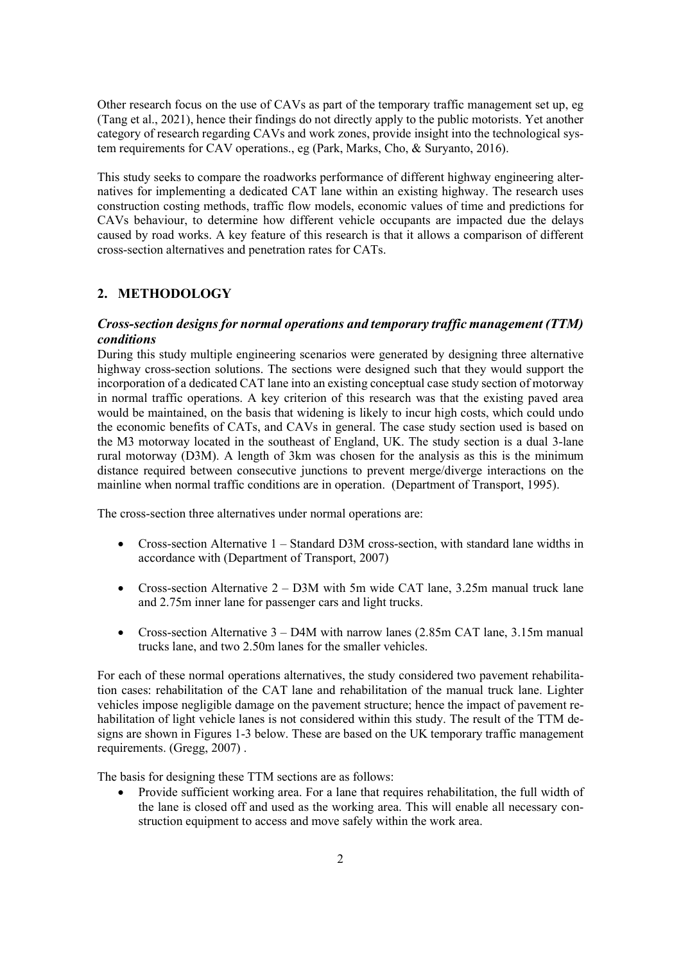Other research focus on the use of CAVs as part of the temporary traffic management set up, eg (Tang et al., 2021), hence their findings do not directly apply to the public motorists. Yet another category of research regarding CAVs and work zones, provide insight into the technological system requirements for CAV operations., eg (Park, Marks, Cho, & Suryanto, 2016).

This study seeks to compare the roadworks performance of different highway engineering alternatives for implementing a dedicated CAT lane within an existing highway. The research uses construction costing methods, traffic flow models, economic values of time and predictions for CAVs behaviour, to determine how different vehicle occupants are impacted due the delays caused by road works. A key feature of this research is that it allows a comparison of different cross-section alternatives and penetration rates for CATs.

# 2. METHODOLOGY

# Cross-section designs for normal operations and temporary traffic management (TTM) conditions

During this study multiple engineering scenarios were generated by designing three alternative highway cross-section solutions. The sections were designed such that they would support the incorporation of a dedicated CAT lane into an existing conceptual case study section of motorway in normal traffic operations. A key criterion of this research was that the existing paved area would be maintained, on the basis that widening is likely to incur high costs, which could undo the economic benefits of CATs, and CAVs in general. The case study section used is based on the M3 motorway located in the southeast of England, UK. The study section is a dual 3-lane rural motorway (D3M). A length of 3km was chosen for the analysis as this is the minimum distance required between consecutive junctions to prevent merge/diverge interactions on the mainline when normal traffic conditions are in operation. (Department of Transport, 1995).

The cross-section three alternatives under normal operations are:

- Cross-section Alternative 1 Standard D3M cross-section, with standard lane widths in accordance with (Department of Transport, 2007)
- Cross-section Alternative  $2 D3M$  with 5m wide CAT lane, 3.25m manual truck lane and 2.75m inner lane for passenger cars and light trucks.
- Cross-section Alternative 3 D4M with narrow lanes (2.85m CAT lane, 3.15m manual trucks lane, and two 2.50m lanes for the smaller vehicles.

For each of these normal operations alternatives, the study considered two pavement rehabilitation cases: rehabilitation of the CAT lane and rehabilitation of the manual truck lane. Lighter vehicles impose negligible damage on the pavement structure; hence the impact of pavement rehabilitation of light vehicle lanes is not considered within this study. The result of the TTM designs are shown in Figures 1-3 below. These are based on the UK temporary traffic management requirements. (Gregg, 2007) .

The basis for designing these TTM sections are as follows:

 Provide sufficient working area. For a lane that requires rehabilitation, the full width of the lane is closed off and used as the working area. This will enable all necessary construction equipment to access and move safely within the work area.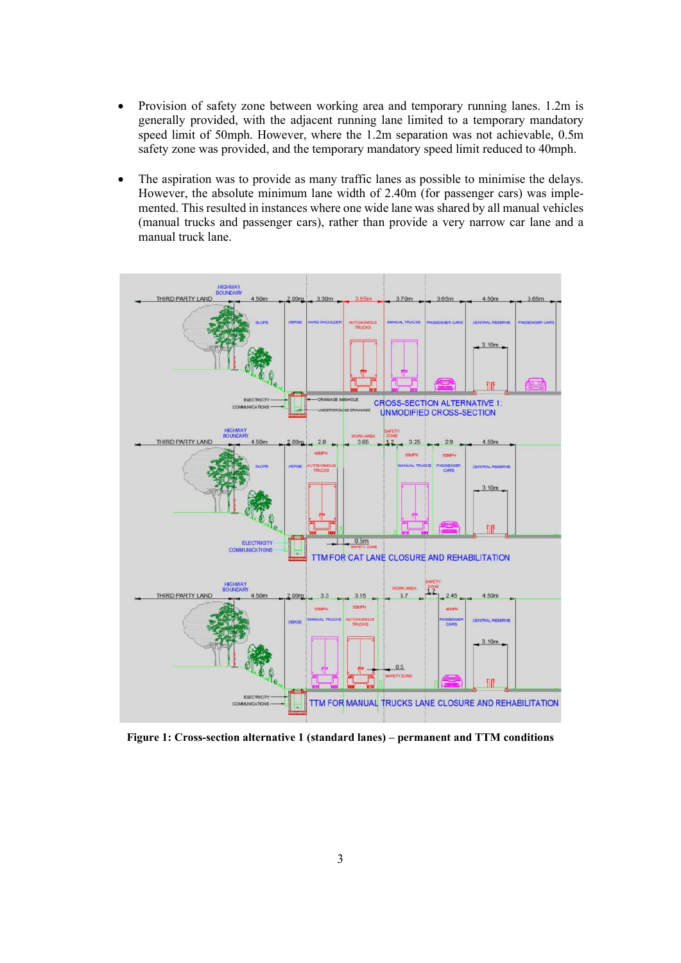- Provision of safety zone between working area and temporary running lanes. 1.2m is generally provided, with the adjacent running lane limited to a temporary mandatory speed limit of 50mph. However, where the 1.2m separation was not achievable, 0.5m safety zone was provided, and the temporary mandatory speed limit reduced to 40mph.
- The aspiration was to provide as many traffic lanes as possible to minimise the delays. However, the absolute minimum lane width of 2.40m (for passenger cars) was implemented. This resulted in instances where one wide lane was shared by all manual vehicles (manual trucks and passenger cars), rather than provide a very narrow car lane and a manual truck lane.



Figure 1: Cross-section alternative 1 (standard lanes) – permanent and TTM conditions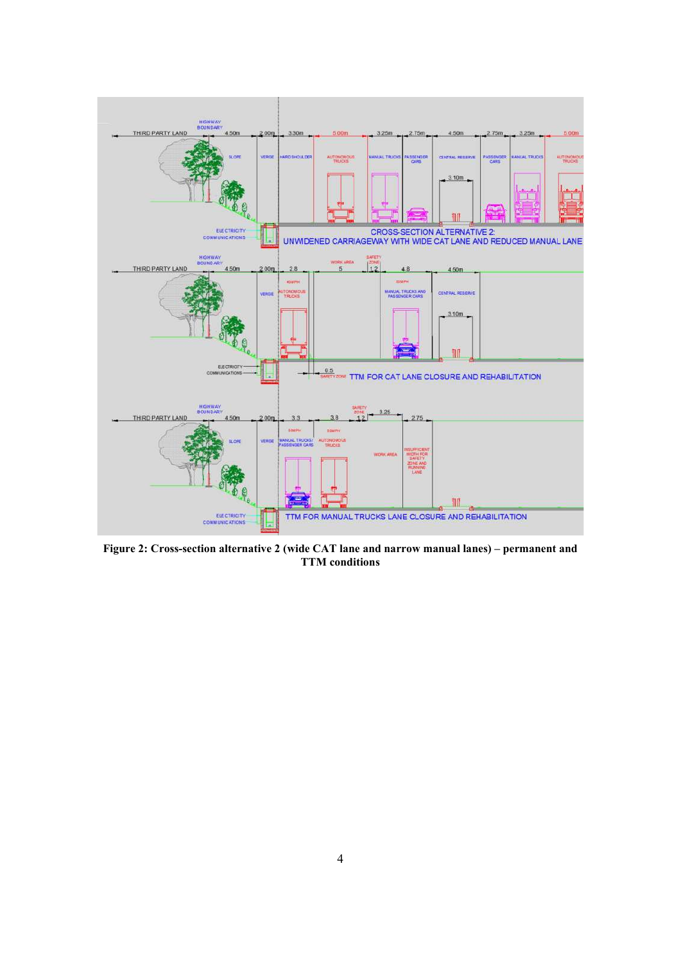

Figure 2: Cross-section alternative 2 (wide CAT lane and narrow manual lanes) – permanent and TTM conditions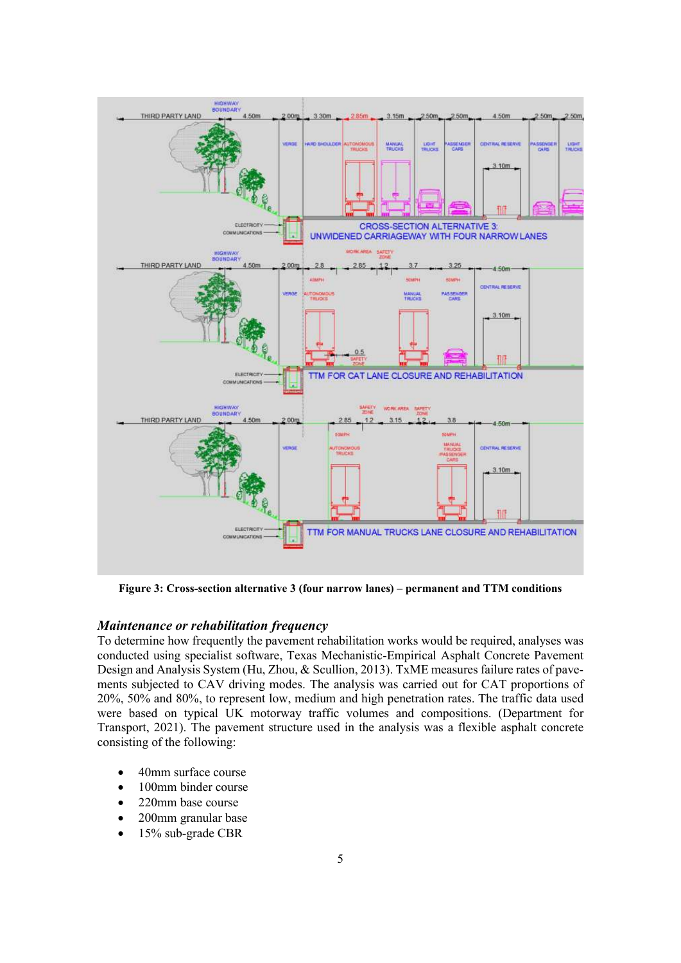

Figure 3: Cross-section alternative 3 (four narrow lanes) – permanent and TTM conditions

#### Maintenance or rehabilitation frequency

To determine how frequently the pavement rehabilitation works would be required, analyses was conducted using specialist software, Texas Mechanistic-Empirical Asphalt Concrete Pavement Design and Analysis System (Hu, Zhou, & Scullion, 2013). TxME measures failure rates of pavements subjected to CAV driving modes. The analysis was carried out for CAT proportions of 20%, 50% and 80%, to represent low, medium and high penetration rates. The traffic data used were based on typical UK motorway traffic volumes and compositions. (Department for Transport, 2021). The pavement structure used in the analysis was a flexible asphalt concrete consisting of the following:

- 40mm surface course
- 100mm binder course
- 220mm base course
- 200mm granular base
- 15% sub-grade CBR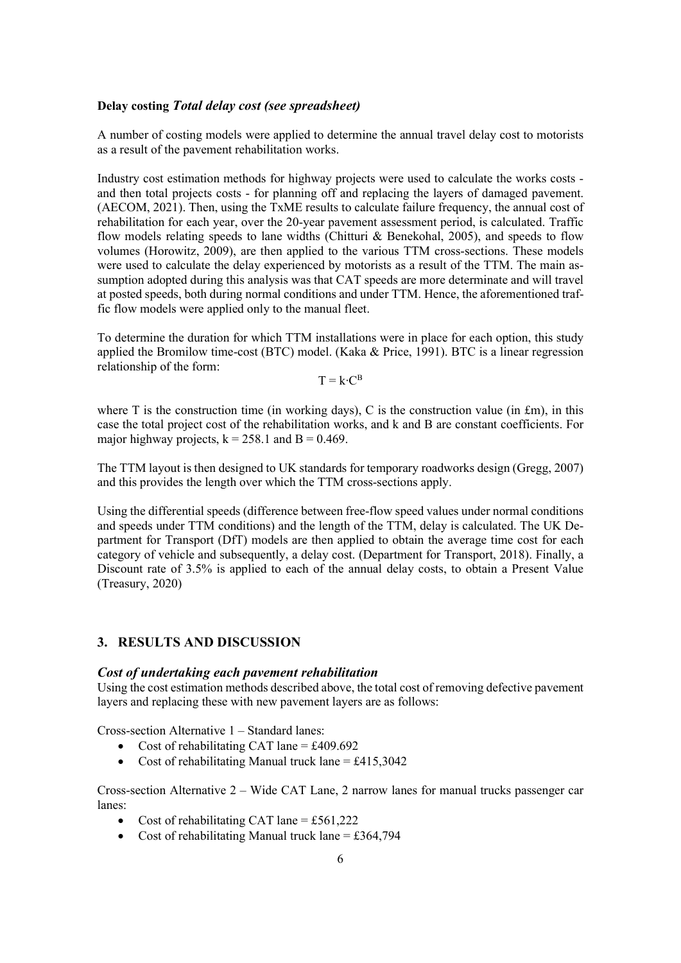### Delay costing Total delay cost (see spreadsheet)

A number of costing models were applied to determine the annual travel delay cost to motorists as a result of the pavement rehabilitation works.

Industry cost estimation methods for highway projects were used to calculate the works costs and then total projects costs - for planning off and replacing the layers of damaged pavement. (AECOM, 2021). Then, using the TxME results to calculate failure frequency, the annual cost of rehabilitation for each year, over the 20-year pavement assessment period, is calculated. Traffic flow models relating speeds to lane widths (Chitturi & Benekohal, 2005), and speeds to flow volumes (Horowitz, 2009), are then applied to the various TTM cross-sections. These models were used to calculate the delay experienced by motorists as a result of the TTM. The main assumption adopted during this analysis was that CAT speeds are more determinate and will travel at posted speeds, both during normal conditions and under TTM. Hence, the aforementioned traffic flow models were applied only to the manual fleet.

To determine the duration for which TTM installations were in place for each option, this study applied the Bromilow time-cost (BTC) model. (Kaka & Price, 1991). BTC is a linear regression relationship of the form:

 $T = k \cdot C^{B}$ 

where T is the construction time (in working days), C is the construction value (in  $\text{fm}$ ), in this case the total project cost of the rehabilitation works, and k and B are constant coefficients. For major highway projects,  $k = 258.1$  and  $B = 0.469$ .

The TTM layout is then designed to UK standards for temporary roadworks design (Gregg, 2007) and this provides the length over which the TTM cross-sections apply.

Using the differential speeds (difference between free-flow speed values under normal conditions and speeds under TTM conditions) and the length of the TTM, delay is calculated. The UK Department for Transport (DfT) models are then applied to obtain the average time cost for each category of vehicle and subsequently, a delay cost. (Department for Transport, 2018). Finally, a Discount rate of 3.5% is applied to each of the annual delay costs, to obtain a Present Value (Treasury, 2020)

#### 3. RESULTS AND DISCUSSION

#### Cost of undertaking each pavement rehabilitation

Using the cost estimation methods described above, the total cost of removing defective pavement layers and replacing these with new pavement layers are as follows:

Cross-section Alternative 1 – Standard lanes:

- Cost of rehabilitating CAT lane  $= \text{\pounds}409.692$
- Cost of rehabilitating Manual truck lane  $= \text{\pounds}415.3042$

Cross-section Alternative 2 – Wide CAT Lane, 2 narrow lanes for manual trucks passenger car lanes:

- Cost of rehabilitating CAT lane = £561,222
- Cost of rehabilitating Manual truck lane = £364,794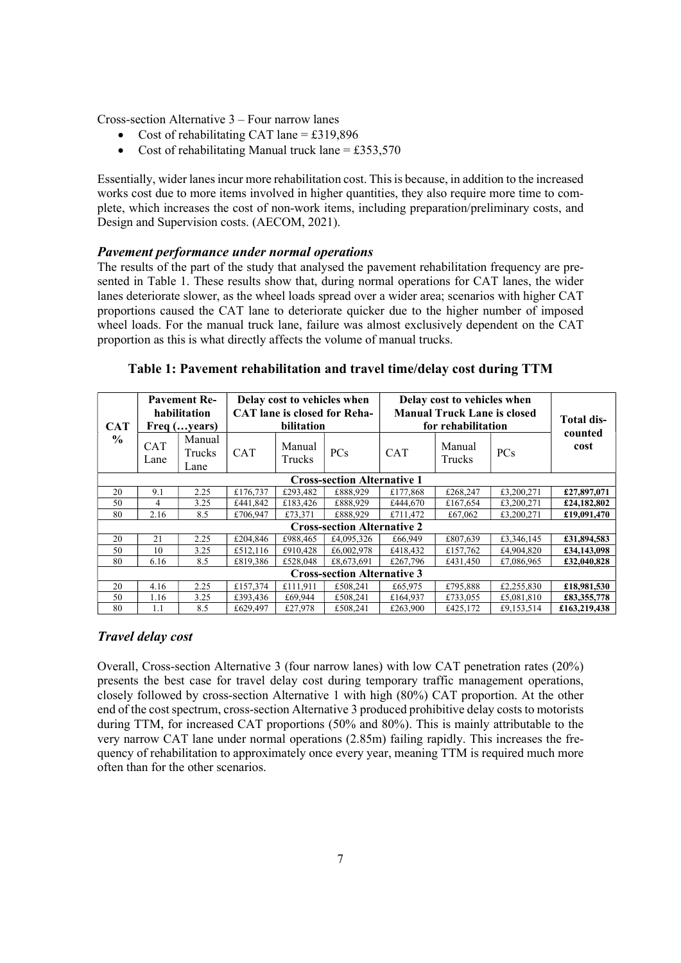Cross-section Alternative 3 – Four narrow lanes

- Cost of rehabilitating CAT lane = £319,896
- Cost of rehabilitating Manual truck lane = £353,570

Essentially, wider lanes incur more rehabilitation cost. This is because, in addition to the increased works cost due to more items involved in higher quantities, they also require more time to complete, which increases the cost of non-work items, including preparation/preliminary costs, and Design and Supervision costs. (AECOM, 2021).

#### Pavement performance under normal operations

The results of the part of the study that analysed the pavement rehabilitation frequency are presented in Table 1. These results show that, during normal operations for CAT lanes, the wider lanes deteriorate slower, as the wheel loads spread over a wider area; scenarios with higher CAT proportions caused the CAT lane to deteriorate quicker due to the higher number of imposed wheel loads. For the manual truck lane, failure was almost exclusively dependent on the CAT proportion as this is what directly affects the volume of manual trucks.

|                                    | <b>Pavement Re-</b> |                          | Delay cost to vehicles when         |                  |            | Delay cost to vehicles when        |                  |            | Total dis-      |
|------------------------------------|---------------------|--------------------------|-------------------------------------|------------------|------------|------------------------------------|------------------|------------|-----------------|
|                                    | habilitation        |                          | <b>CAT</b> lane is closed for Reha- |                  |            | <b>Manual Truck Lane is closed</b> |                  |            |                 |
| <b>CAT</b><br>$\frac{6}{9}$        | Freq (years)        |                          | bilitation                          |                  |            | for rehabilitation                 |                  |            |                 |
|                                    | CAT<br>Lane         | Manual<br>Trucks<br>Lane | <b>CAT</b>                          | Manual<br>Trucks | PCs        | <b>CAT</b>                         | Manual<br>Trucks | <b>PCs</b> | counted<br>cost |
| <b>Cross-section Alternative 1</b> |                     |                          |                                     |                  |            |                                    |                  |            |                 |
| 20                                 | 9.1                 | 2.25                     | £176,737                            | £293,482         | £888.929   | £177,868                           | £268,247         | £3,200,271 | £27,897,071     |
| 50                                 | 4                   | 3.25                     | £441.842                            | £183,426         | £888.929   | £444,670                           | £167,654         | £3,200,271 | £24,182,802     |
| 80                                 | 2.16                | 8.5                      | £706.947                            | £73,371          | £888.929   | £711,472                           | £67,062          | £3,200,271 | £19,091,470     |
| <b>Cross-section Alternative 2</b> |                     |                          |                                     |                  |            |                                    |                  |            |                 |
| 20                                 | 21                  | 2.25                     | £204,846                            | £988.465         | £4,095,326 | £66,949                            | £807,639         | £3,346,145 | £31,894,583     |
| 50                                 | 10                  | 3.25                     | £512,116                            | £910,428         | £6,002,978 | £418,432                           | £157,762         | £4,904,820 | £34,143,098     |
| 80                                 | 6.16                | 8.5                      | £819,386                            | £528,048         | £8,673,691 | £267,796                           | £431,450         | £7,086,965 | £32,040,828     |
| <b>Cross-section Alternative 3</b> |                     |                          |                                     |                  |            |                                    |                  |            |                 |
| 20                                 | 4.16                | 2.25                     | £157,374                            | £111,911         | £508,241   | £65,975                            | £795,888         | £2,255,830 | £18,981,530     |
| 50                                 | 1.16                | 3.25                     | £393,436                            | £69,944          | £508,241   | £164,937                           | £733,055         | £5,081,810 | £83,355,778     |
| 80                                 | 1.1                 | 8.5                      | £629,497                            | £27,978          | £508,241   | £263,900                           | £425,172         | £9,153,514 | £163,219,438    |

Table 1: Pavement rehabilitation and travel time/delay cost during TTM

# Travel delay cost

Overall, Cross-section Alternative 3 (four narrow lanes) with low CAT penetration rates (20%) presents the best case for travel delay cost during temporary traffic management operations, closely followed by cross-section Alternative 1 with high (80%) CAT proportion. At the other end of the cost spectrum, cross-section Alternative 3 produced prohibitive delay costs to motorists during TTM, for increased CAT proportions (50% and 80%). This is mainly attributable to the very narrow CAT lane under normal operations (2.85m) failing rapidly. This increases the frequency of rehabilitation to approximately once every year, meaning TTM is required much more often than for the other scenarios.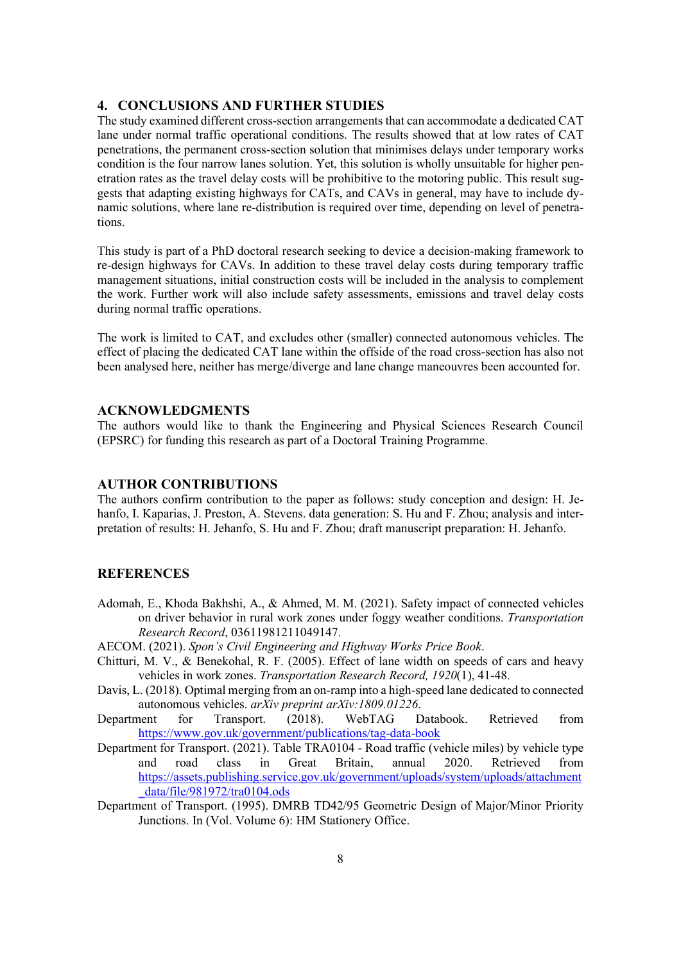#### 4. CONCLUSIONS AND FURTHER STUDIES

The study examined different cross-section arrangements that can accommodate a dedicated CAT lane under normal traffic operational conditions. The results showed that at low rates of CAT penetrations, the permanent cross-section solution that minimises delays under temporary works condition is the four narrow lanes solution. Yet, this solution is wholly unsuitable for higher penetration rates as the travel delay costs will be prohibitive to the motoring public. This result suggests that adapting existing highways for CATs, and CAVs in general, may have to include dynamic solutions, where lane re-distribution is required over time, depending on level of penetrations.

This study is part of a PhD doctoral research seeking to device a decision-making framework to re-design highways for CAVs. In addition to these travel delay costs during temporary traffic management situations, initial construction costs will be included in the analysis to complement the work. Further work will also include safety assessments, emissions and travel delay costs during normal traffic operations.

The work is limited to CAT, and excludes other (smaller) connected autonomous vehicles. The effect of placing the dedicated CAT lane within the offside of the road cross-section has also not been analysed here, neither has merge/diverge and lane change maneouvres been accounted for.

#### ACKNOWLEDGMENTS

The authors would like to thank the Engineering and Physical Sciences Research Council (EPSRC) for funding this research as part of a Doctoral Training Programme.

# AUTHOR CONTRIBUTIONS

The authors confirm contribution to the paper as follows: study conception and design: H. Jehanfo, I. Kaparias, J. Preston, A. Stevens. data generation: S. Hu and F. Zhou; analysis and interpretation of results: H. Jehanfo, S. Hu and F. Zhou; draft manuscript preparation: H. Jehanfo.

#### **REFERENCES**

- Adomah, E., Khoda Bakhshi, A., & Ahmed, M. M. (2021). Safety impact of connected vehicles on driver behavior in rural work zones under foggy weather conditions. Transportation Research Record, 03611981211049147.
- AECOM. (2021). Spon's Civil Engineering and Highway Works Price Book.
- Chitturi, M. V., & Benekohal, R. F. (2005). Effect of lane width on speeds of cars and heavy vehicles in work zones. Transportation Research Record, 1920(1), 41-48.
- Davis, L. (2018). Optimal merging from an on-ramp into a high-speed lane dedicated to connected autonomous vehicles. arXiv preprint arXiv:1809.01226.
- Department for Transport. (2018). WebTAG Databook. Retrieved from https://www.gov.uk/government/publications/tag-data-book
- Department for Transport. (2021). Table TRA0104 Road traffic (vehicle miles) by vehicle type and road class in Great Britain, annual 2020. Retrieved from https://assets.publishing.service.gov.uk/government/uploads/system/uploads/attachment \_data/file/981972/tra0104.ods
- Department of Transport. (1995). DMRB TD42/95 Geometric Design of Major/Minor Priority Junctions. In (Vol. Volume 6): HM Stationery Office.